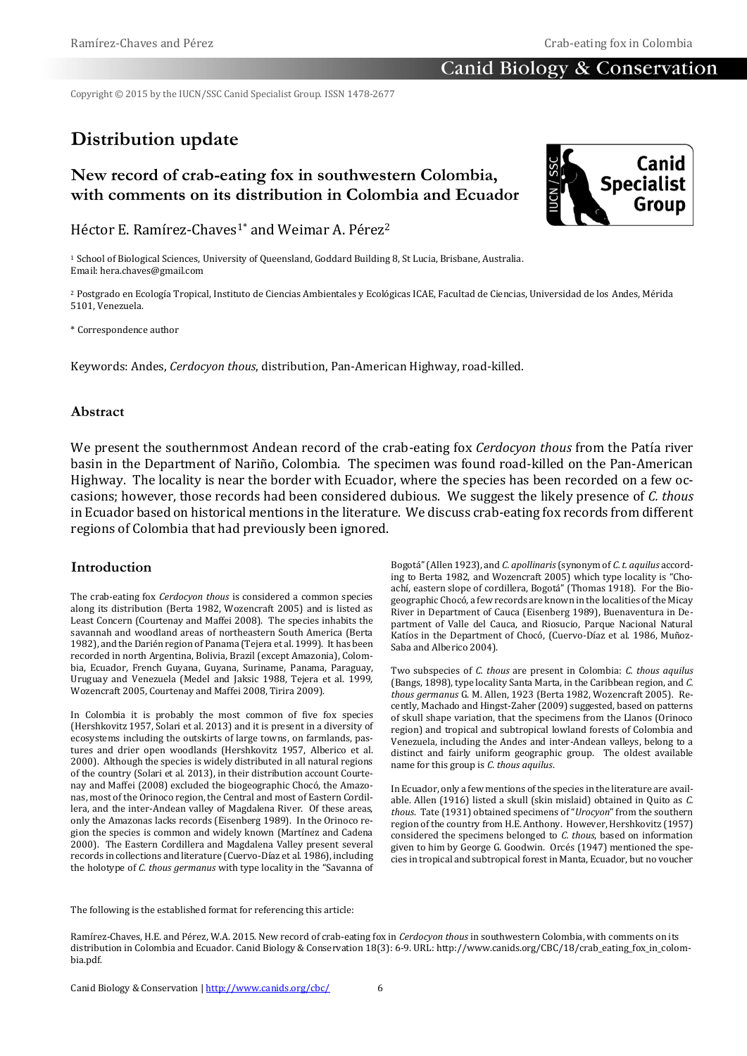Copyright © 2015 by the IUCN/SSC Canid Specialist Group. ISSN 1478-2677

# **Distribution update**

# **New record of crab-eating fox in southwestern Colombia, with comments on its distribution in Colombia and Ecuador**

Héctor E. Ramírez-Chaves1\* and Weimar A. Pérez<sup>2</sup>

<sup>1</sup> School of Biological Sciences, University of Queensland, Goddard Building 8, St Lucia, Brisbane, Australia. Email: hera.chaves@gmail.com

<sup>2</sup> Postgrado en Ecología Tropical, Instituto de Ciencias Ambientales y Ecológicas ICAE, Facultad de Ciencias, Universidad de los Andes, Mérida 5101, Venezuela.

\* Correspondence author

Keywords: Andes, *Cerdocyon thous*, distribution, Pan-American Highway, road-killed.

### **Abstract**

We present the southernmost Andean record of the crab-eating fox *Cerdocyon thous* from the Patía river basin in the Department of Nariño, Colombia. The specimen was found road-killed on the Pan-American Highway. The locality is near the border with Ecuador, where the species has been recorded on a few occasions; however, those records had been considered dubious. We suggest the likely presence of *C. thous*  in Ecuador based on historical mentions in the literature. We discuss crab-eating fox records from different regions of Colombia that had previously been ignored.

### **Introduction**

The crab-eating fox *Cerdocyon thous* is considered a common species along its distribution (Berta 1982, Wozencraft 2005) and is listed as Least Concern (Courtenay and Maffei 2008). The species inhabits the savannah and woodland areas of northeastern South America (Berta 1982), and the Darién region of Panama (Tejera et al. 1999). It has been recorded in north Argentina, Bolivia, Brazil (except Amazonia), Colombia, Ecuador, French Guyana, Guyana, Suriname, Panama, Paraguay, Uruguay and Venezuela (Medel and Jaksic 1988, Tejera et al. 1999, Wozencraft 2005, Courtenay and Maffei 2008, Tirira 2009).

In Colombia it is probably the most common of five fox species (Hershkovitz 1957, Solari et al. 2013) and it is present in a diversity of ecosystems including the outskirts of large towns, on farmlands, pastures and drier open woodlands (Hershkovitz 1957, Alberico et al. 2000). Although the species is widely distributed in all natural regions of the country (Solari et al. 2013), in their distribution account Courtenay and Maffei (2008) excluded the biogeographic Chocó, the Amazonas, most of the Orinoco region, the Central and most of Eastern Cordillera, and the inter-Andean valley of Magdalena River. Of these areas, only the Amazonas lacks records (Eisenberg 1989). In the Orinoco region the species is common and widely known (Martínez and Cadena 2000). The Eastern Cordillera and Magdalena Valley present several records in collections and literature (Cuervo-Díaz et al. 1986), including the holotype of *C. thous germanus* with type locality in the "Savanna of

Bogotá" (Allen 1923), and *C. apollinaris*(synonym of *C. t. aquilus* according to Berta 1982, and Wozencraft 2005) which type locality is "Choachí, eastern slope of cordillera, Bogotá" (Thomas 1918). For the Biogeographic Chocó, a few records are known in the localities of the Micay River in Department of Cauca (Eisenberg 1989), Buenaventura in Department of Valle del Cauca, and Riosucio, Parque Nacional Natural Katíos in the Department of Chocó, (Cuervo-Díaz et al. 1986, Muñoz-Saba and Alberico 2004).

Two subspecies of *C. thous* are present in Colombia: *C. thous aquilus*  (Bangs, 1898), type locality Santa Marta, in the Caribbean region, and *C. thous germanus* G. M. Allen, 1923 (Berta 1982, Wozencraft 2005)*.* Recently, Machado and Hingst-Zaher (2009) suggested, based on patterns of skull shape variation, that the specimens from the Llanos (Orinoco region) and tropical and subtropical lowland forests of Colombia and Venezuela, including the Andes and inter-Andean valleys, belong to a distinct and fairly uniform geographic group. The oldest available name for this group is *C. thous aquilus*.

In Ecuador, only a few mentions of the species in the literature are available. Allen (1916) listed a skull (skin mislaid) obtained in Quito as *C. thous*. Tate (1931) obtained specimens of "*Urocyon*" from the southern region of the country from H.E. Anthony. However, Hershkovitz (1957) considered the specimens belonged to *C. thous*, based on information given to him by George G. Goodwin. Orcés (1947) mentioned the species in tropical and subtropical forest in Manta, Ecuador, but no voucher

The following is the established format for referencing this article:

Ramírez-Chaves, H.E. and Pérez, W.A. 2015. New record of crab-eating fox in *Cerdocyon thous* in southwestern Colombia, with comments on its distribution in Colombia and Ecuador. Canid Biology & Conservation 18(3): 6-9. URL: http://www.canids.org/CBC/18/crab\_eating\_fox\_in\_colombia.pdf.

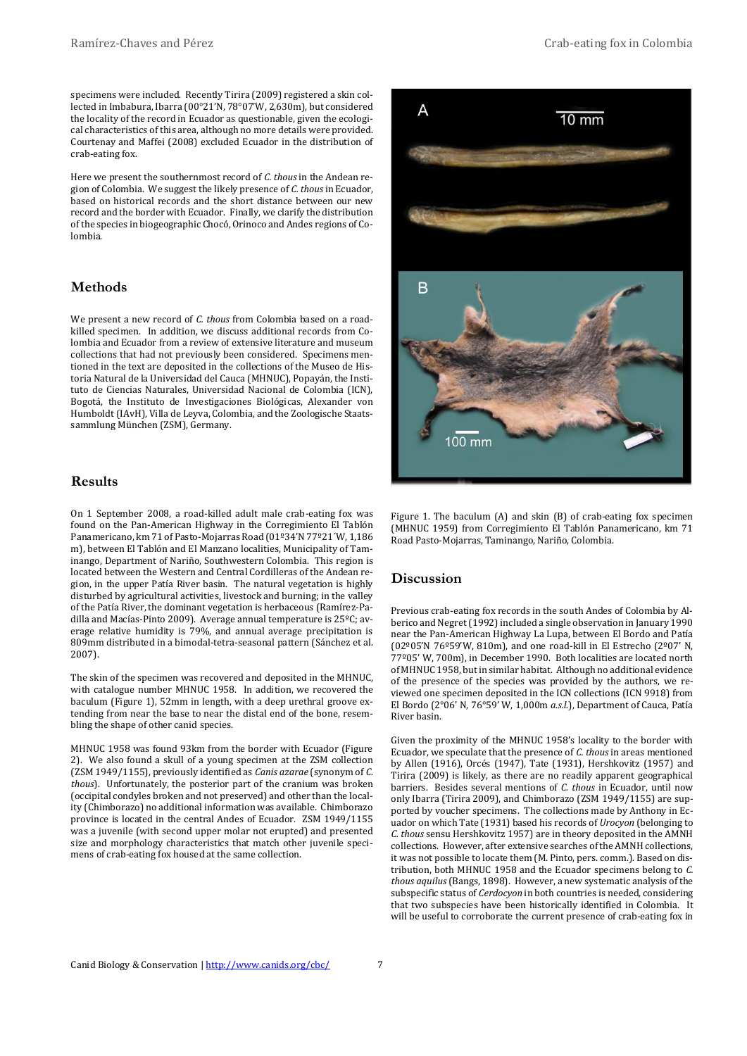Here we present the southernmost record of *C. thous* in the Andean region of Colombia. We suggest the likely presence of *C. thous* in Ecuador, based on historical records and the short distance between our new record and the border with Ecuador. Finally, we clarify the distribution of the species in biogeographic Chocó, Orinoco and Andes regions of Colombia.

# **Methods**

We present a new record of *C. thous* from Colombia based on a roadkilled specimen. In addition, we discuss additional records from Colombia and Ecuador from a review of extensive literature and museum collections that had not previously been considered. Specimens mentioned in the text are deposited in the collections of the Museo de Historia Natural de la Universidad del Cauca (MHNUC), Popayán, the Instituto de Ciencias Naturales, Universidad Nacional de Colombia (ICN), Bogotá, the Instituto de Investigaciones Biológicas, Alexander von Humboldt (IAvH), Villa de Leyva, Colombia, and the Zoologische Staatssammlung München (ZSM), Germany.

#### **Results**

On 1 September 2008, a road-killed adult male crab-eating fox was found on the Pan-American Highway in the Corregimiento El Tablón Panamericano, km 71 of Pasto-Mojarras Road (01º34'N 77º21´W, 1,186 m), between El Tablón and El Manzano localities, Municipality of Taminango, Department of Nariño, Southwestern Colombia. This region is located between the Western and Central Cordilleras of the Andean region, in the upper Patía River basin. The natural vegetation is highly disturbed by agricultural activities, livestock and burning; in the valley of the Patía River, the dominant vegetation is herbaceous (Ramírez-Padilla and Macías-Pinto 2009). Average annual temperature is 25ºC; average relative humidity is 79%, and annual average precipitation is 809mm distributed in a bimodal-tetra-seasonal pattern (Sánchez et al. 2007).

The skin of the specimen was recovered and deposited in the MHNUC, with catalogue number MHNUC 1958. In addition, we recovered the baculum (Figure 1), 52mm in length, with a deep urethral groove extending from near the base to near the distal end of the bone, resembling the shape of other canid species.

MHNUC 1958 was found 93km from the border with Ecuador (Figure 2). We also found a skull of a young specimen at the ZSM collection (ZSM 1949/1155), previously identified as *Canis azarae* (synonym of *C. thous*). Unfortunately, the posterior part of the cranium was broken (occipital condyles broken and not preserved) and other than the locality (Chimborazo) no additional information was available. Chimborazo province is located in the central Andes of Ecuador. ZSM 1949/1155 was a juvenile (with second upper molar not erupted) and presented size and morphology characteristics that match other juvenile specimens of crab-eating fox housed at the same collection.



Figure 1. The baculum (A) and skin (B) of crab-eating fox specimen (MHNUC 1959) from Corregimiento El Tablón Panamericano, km 71 Road Pasto-Mojarras, Taminango, Nariño, Colombia.

# **Discussion**

Previous crab-eating fox records in the south Andes of Colombia by Alberico and Negret (1992) included a single observation in January 1990 near the Pan-American Highway La Lupa, between El Bordo and Patía (02º05'N 76º59'W, 810m), and one road-kill in El Estrecho (2º07' N, 77º05' W, 700m), in December 1990. Both localities are located north of MHNUC 1958, but in similar habitat. Although no additional evidence of the presence of the species was provided by the authors, we reviewed one specimen deposited in the ICN collections (ICN 9918) from El Bordo (2°06' N, 76°59' W, 1,000m *a.s.l.*), Department of Cauca, Patía River basin.

Given the proximity of the MHNUC 1958's locality to the border with Ecuador, we speculate that the presence of *C. thous* in areas mentioned by Allen (1916), Orcés (1947), Tate (1931), Hershkovitz (1957) and Tirira (2009) is likely, as there are no readily apparent geographical barriers. Besides several mentions of *C. thous* in Ecuador, until now only Ibarra (Tirira 2009), and Chimborazo (ZSM 1949/1155) are supported by voucher specimens. The collections made by Anthony in Ecuador on which Tate (1931) based his records of *Urocyon* (belonging to *C. thous* sensu Hershkovitz 1957) are in theory deposited in the AMNH collections. However, after extensive searches of the AMNH collections, it was not possible to locate them (M. Pinto, pers. comm.). Based on distribution, both MHNUC 1958 and the Ecuador specimens belong to *C. thous aquilus* (Bangs, 1898). However, a new systematic analysis of the subspecific status of *Cerdocyon* in both countries is needed, considering that two subspecies have been historically identified in Colombia. It will be useful to corroborate the current presence of crab-eating fox in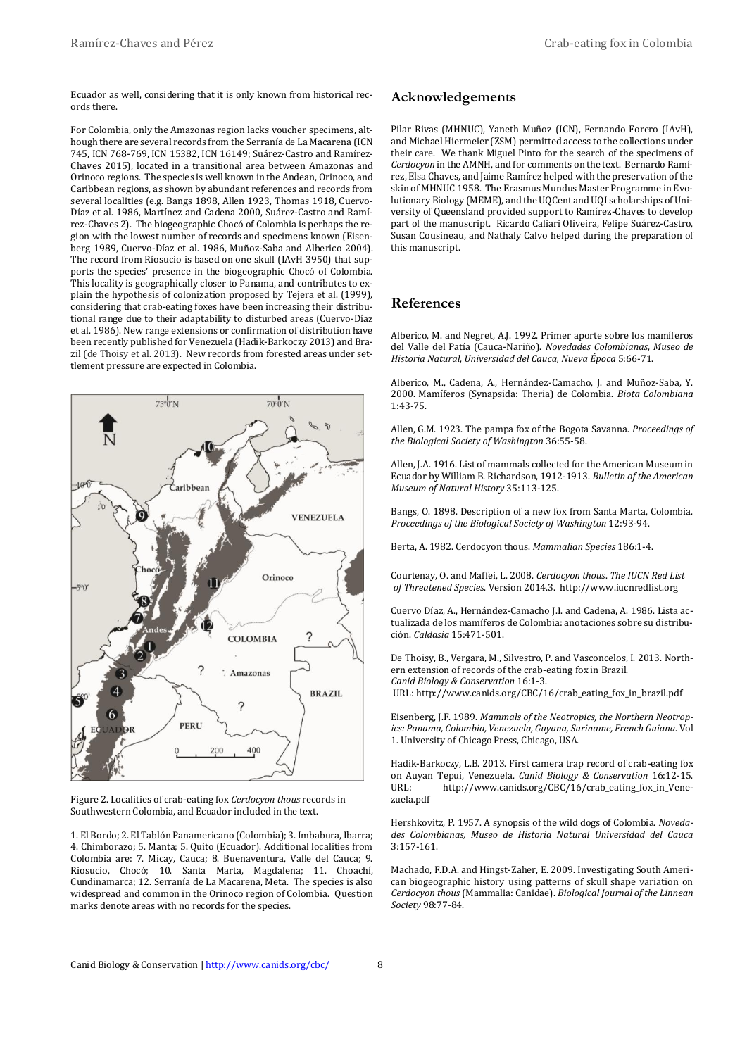Ecuador as well, considering that it is only known from historical records there.

For Colombia, only the Amazonas region lacks voucher specimens, although there are several records from the Serranía de La Macarena (ICN 745, ICN 768-769, ICN 15382, ICN 16149; Suárez-Castro and Ramírez-Chaves 2015), located in a transitional area between Amazonas and Orinoco regions. The species is well known in the Andean, Orinoco, and Caribbean regions, as shown by abundant references and records from several localities (e.g. Bangs 1898, Allen 1923, Thomas 1918, Cuervo-Díaz et al. 1986, Martínez and Cadena 2000, Suárez-Castro and Ramírez-Chaves 2). The biogeographic Chocó of Colombia is perhaps the region with the lowest number of records and specimens known (Eisenberg 1989, Cuervo-Díaz et al. 1986, Muñoz-Saba and Alberico 2004). The record from Ríosucio is based on one skull (IAvH 3950) that supports the species' presence in the biogeographic Chocó of Colombia. This locality is geographically closer to Panama, and contributes to explain the hypothesis of colonization proposed by Tejera et al. (1999), considering that crab-eating foxes have been increasing their distributional range due to their adaptability to disturbed areas (Cuervo-Díaz et al. 1986). New range extensions or confirmation of distribution have been recently published for Venezuela (Hadik-Barkoczy 2013) and Brazil (de Thoisy et al. 2013). New records from forested areas under settlement pressure are expected in Colombia.



Figure 2. Localities of crab-eating fox *Cerdocyon thous* records in Southwestern Colombia, and Ecuador included in the text.

1. El Bordo; 2. El Tablón Panamericano (Colombia); 3. Imbabura, Ibarra; 4. Chimborazo; 5. Manta; 5. Quito (Ecuador). Additional localities from Colombia are: 7. Micay, Cauca; 8. Buenaventura, Valle del Cauca; 9. Riosucio, Chocó; 10. Santa Marta, Magdalena; 11. Choachí, Cundinamarca; 12. Serranía de La Macarena, Meta. The species is also widespread and common in the Orinoco region of Colombia. Question marks denote areas with no records for the species.

#### **Acknowledgements**

Pilar Rivas (MHNUC), Yaneth Muñoz (ICN), Fernando Forero (IAvH), and Michael Hiermeier (ZSM) permitted access to the collections under their care. We thank Miguel Pinto for the search of the specimens of *Cerdocyon* in the AMNH, and for comments on the text. Bernardo Ramírez, Elsa Chaves, and Jaime Ramírez helped with the preservation of the skin of MHNUC 1958. The Erasmus Mundus Master Programme in Evolutionary Biology (MEME), and the UQCent and UQI scholarships of University of Queensland provided support to Ramírez-Chaves to develop part of the manuscript. Ricardo Caliari Oliveira, Felipe Suárez-Castro, Susan Cousineau, and Nathaly Calvo helped during the preparation of this manuscript.

#### **References**

Alberico, M. and Negret, A.J. 1992. Primer aporte sobre los mamíferos del Valle del Patía (Cauca-Nariño). *Novedades Colombianas, Museo de Historia Natural, Universidad del Cauca, Nueva Época* 5:66-71.

Alberico, M., Cadena, A., Hernández-Camacho, J. and Muñoz-Saba, Y. 2000. Mamíferos (Synapsida: Theria) de Colombia. *Biota Colombiana* 1:43-75.

Allen, G.M. 1923. The pampa fox of the Bogota Savanna. *Proceedings of the Biological Society of Washington* 36:55-58.

Allen, J.A. 1916. List of mammals collected for the American Museum in Ecuador by William B. Richardson, 1912-1913. *Bulletin of the American Museum of Natural History* 35:113-125.

Bangs, O. 1898. Description of a new fox from Santa Marta, Colombia. *Proceedings of the Biological Society of Washington* 12:93-94.

Berta, A. 1982. Cerdocyon thous. *Mammalian Species* 186:1-4.

Courtenay, O. and Maffei, L. 2008. *Cerdocyon thous*. *The IUCN Red List of Threatened Species*. Version 2014.3. http://www.iucnredlist.org

Cuervo Díaz, A., Hernández-Camacho J.I. and Cadena, A. 1986. Lista actualizada de los mamíferos de Colombia: anotaciones sobre su distribución. *Caldasia* 15:471-501.

De Thoisy, B., Vergara, M., Silvestro, P. and Vasconcelos, I. 2013. Northern extension of records of the crab-eating fox in Brazil. *Canid Biology & Conservation* 16:1-3. URL: http://www.canids.org/CBC/16/crab\_eating\_fox\_in\_brazil.pdf

Eisenberg, J.F. 1989. *Mammals of the Neotropics, the Northern Neotropics: Panama, Colombia, Venezuela, Guyana, Suriname, French Guiana.* Vol 1. University of Chicago Press, Chicago, USA.

Hadik-Barkoczy, L.B. 2013. First camera trap record of crab-eating fox on Auyan Tepui, Venezuela. *Canid Biology & Conservation* 16:12-15. URL: http://www.canids.org/CBC/16/crab\_eating\_fox\_in\_Venezuela.pdf

Hershkovitz, P. 1957. A synopsis of the wild dogs of Colombia. *Novedades Colombianas, Museo de Historia Natural Universidad del Cauca* 3:157-161.

Machado, F.D.A. and Hingst-Zaher, E. 2009. Investigating South American biogeographic history using patterns of skull shape variation on *Cerdocyon thous* (Mammalia: Canidae). *Biological Journal of the Linnean Society* 98:77-84.